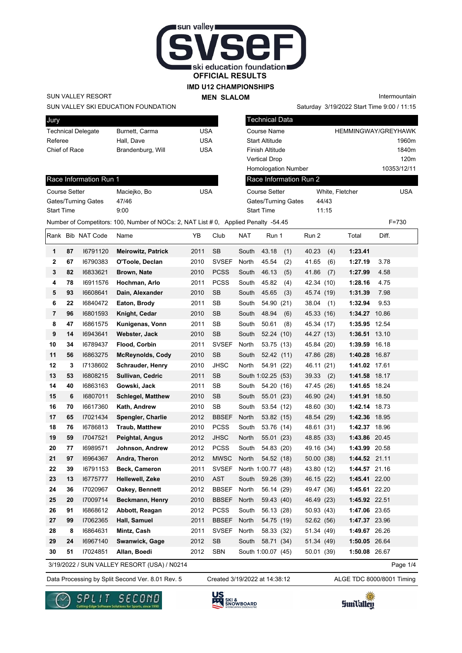

### **IMD U12 CHAMPIONSHIPS**

**MEN SLALOM** 

Intermountain

SUN VALLEY RESORT

Race Information Run 1

Gates/Turning Gates 47/46 Start Time 9:00

Jury

| SUN VALLEY SKI EDUCATION FOUNDATION |  |
|-------------------------------------|--|
|                                     |  |

| <b>UMIY</b>               |                   |     |
|---------------------------|-------------------|-----|
| <b>Technical Delegate</b> | Burnett, Carma    | USA |
| Referee                   | Hall, Dave        | USA |
| Chief of Race             | Brandenburg, Will | USA |
|                           |                   |     |

Course Setter Maciejko, Bo USA

| <b>HEMMINGWAY/GREYHAWK</b> |
|----------------------------|
| 1960m                      |
| 1840m                      |
| 120m                       |
| 10353/12/11                |
|                            |
| White, Fletcher<br>USA     |
| 44/43                      |
| 11:15                      |
| Race Information Run 2     |

Saturday 3/19/2022 Start Time 9:00 / 11:15

Number of Competitors: 100, Number of NOCs: 2, NAT List # 0, Applied Penalty -54.45 F=730

|                |    | Rank Bib NAT Code | Name                      | YB   | Club         | NAT   | Run 1              | Run 2         | Total         | Diff. |
|----------------|----|-------------------|---------------------------|------|--------------|-------|--------------------|---------------|---------------|-------|
| 1              | 87 | 16791120          | <b>Meirowitz, Patrick</b> | 2011 | <b>SB</b>    | South | 43.18<br>(1)       | 40.23<br>(4)  | 1:23.41       |       |
| $\mathbf{2}$   | 67 | 16790383          | O'Toole, Declan           | 2010 | <b>SVSEF</b> | North | 45.54<br>(2)       | 41.65<br>(6)  | 1:27.19       | 3.78  |
| 3              | 82 | 16833621          | Brown, Nate               | 2010 | <b>PCSS</b>  | South | 46.13<br>(5)       | 41.86<br>(7)  | 1:27.99       | 4.58  |
| 4              | 78 | 16911576          | Hochman, Arlo             | 2011 | <b>PCSS</b>  | South | 45.82<br>(4)       | 42.34 (10)    | 1:28.16       | 4.75  |
| 5              | 93 | 16608641          | Dain, Alexander           | 2010 | <b>SB</b>    | South | 45.65<br>(3)       | 45.74 (19)    | 1:31.39       | 7.98  |
| 6              | 22 | 16840472          | Eaton, Brody              | 2011 | <b>SB</b>    | South | 54.90 (21)         | 38.04<br>(1)  | 1:32.94       | 9.53  |
| $\overline{7}$ | 96 | 16801593          | Knight, Cedar             | 2010 | <b>SB</b>    | South | 48.94<br>(6)       | 45.33<br>(16) | 1:34.27 10.86 |       |
| 8              | 47 | 16861575          | Kunigenas, Vonn           | 2011 | <b>SB</b>    | South | 50.61<br>(8)       | 45.34 (17)    | 1:35.95 12.54 |       |
| 9              | 14 | 16943641          | Webster, Jack             | 2010 | <b>SB</b>    | South | 52.24(10)          | 44.27 (13)    | 1:36.51 13.10 |       |
| 10             | 34 | 16789437          | Flood, Corbin             | 2011 | <b>SVSEF</b> | North | 53.75 (13)         | 45.84 (20)    | 1:39.59 16.18 |       |
| 11             | 56 | 16863275          | <b>McReynolds, Cody</b>   | 2010 | <b>SB</b>    | South | 52.42 (11)         | 47.86 (28)    | 1:40.28 16.87 |       |
| 12             | 3  | 17138602          | <b>Schrauder, Henry</b>   | 2010 | <b>JHSC</b>  | North | 54.91 (22)         | 46.11 (21)    | 1:41.02 17.61 |       |
| 13             | 53 | 16808215          | Sullivan, Cedric          | 2011 | <b>SB</b>    |       | South 1:02.25 (53) | 39.33<br>(2)  | 1:41.58 18.17 |       |
| 14             | 40 | 16863163          | Gowski, Jack              | 2011 | <b>SB</b>    | South | 54.20 (16)         | 47.45<br>(26) | 1:41.65 18.24 |       |
| 15             | 6  | 16807011          | <b>Schlegel, Matthew</b>  | 2010 | <b>SB</b>    | South | 55.01 (23)         | 46.90 (24)    | 1:41.91 18.50 |       |
| 16             | 70 | 16617360          | Kath, Andrew              | 2010 | SB           | South | 53.54 (12)         | 48.60 (30)    | 1:42.14 18.73 |       |
| 17             | 65 | 17021434          | Spengler, Charlie         | 2012 | <b>BBSEF</b> | North | 53.82 (15)         | 48.54 (29)    | 1:42.36 18.95 |       |
| 18             | 76 | 16786813          | <b>Traub, Matthew</b>     | 2010 | <b>PCSS</b>  | South | 53.76 (14)         | 48.61 (31)    | 1:42.37 18.96 |       |
| 19             | 59 | 17047521          | Peightal, Angus           | 2012 | <b>JHSC</b>  | North | 55.01 (23)         | 48.85 (33)    | 1:43.86 20.45 |       |
| 20             | 77 | 16989571          | Johnson, Andrew           | 2012 | <b>PCSS</b>  | South | 54.83 (20)         | 49.16 (34)    | 1:43.99 20.58 |       |
| 21             | 97 | 16964367          | Andra, Theron             | 2012 | <b>MWSC</b>  | North | 54.52 (18)         | 50.00 (38)    | 1:44.52 21.11 |       |
| 22             | 39 | 16791153          | <b>Beck, Cameron</b>      | 2011 | <b>SVSEF</b> |       | North 1:00.77 (48) | 43.80 (12)    | 1:44.57 21.16 |       |
| 23             | 13 | 16775777          | <b>Hellewell, Zeke</b>    | 2010 | <b>AST</b>   | South | 59.26 (39)         | 46.15 (22)    | 1:45.41 22.00 |       |
| 24             | 36 | 17020967          | Oakey, Bennett            | 2012 | <b>BBSEF</b> | North | 56.14 (29)         | 49.47 (36)    | 1:45.61 22.20 |       |
| 25             | 20 | 17009714          | Beckmann, Henry           | 2010 | <b>BBSEF</b> | North | 59.43 (40)         | 46.49 (23)    | 1:45.92 22.51 |       |
| 26             | 91 | 16868612          | Abbott, Reagan            | 2012 | <b>PCSS</b>  | South | 56.13 (28)         | 50.93 (43)    | 1:47.06 23.65 |       |
| 27             | 99 | I7062365          | Hall, Samuel              | 2011 | <b>BBSEF</b> | North | 54.75 (19)         | 52.62 (56)    | 1:47.37 23.96 |       |
| 28             | 8  | 16864631          | Mintz, Cash               | 2011 | <b>SVSEF</b> | North | 58.33 (32)         | 51.34 (49)    | 1:49.67 26.26 |       |
| 29             | 24 | 16967140          | Swanwick, Gage            | 2012 | <b>SB</b>    | South | 58.71 (34)         | 51.34 (49)    | 1:50.05 26.64 |       |
| 30             | 51 | 17024851          | Allan, Boedi              | 2012 | <b>SBN</b>   |       | South 1:00.07 (45) | 50.01 (39)    | 1:50.08 26.67 |       |

3/19/2022 / SUN VALLEY RESORT (USA) / N0214

Created 3/19/2022 at 14:38:12

Page 1/4









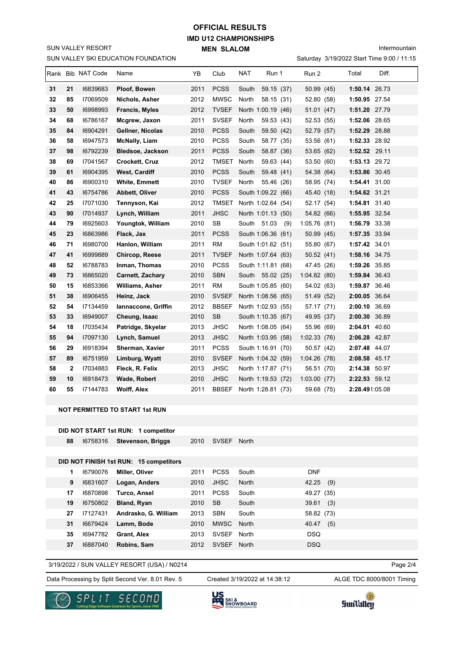## **IMD U12 CHAMPIONSHIPS MEN SLALOM OFFICIAL RESULTS**

Intermountain

|  |  | Saturday 3/19/2022 Start Time 9:00 / 11:15 |  |  |
|--|--|--------------------------------------------|--|--|
|--|--|--------------------------------------------|--|--|

|    |              |                   | SUN VALLEY SKI EDUCATION FOUNDATION |      |              |                     |             | Saturday 3/19/2022 Start Time 9:00 / 11:15 |
|----|--------------|-------------------|-------------------------------------|------|--------------|---------------------|-------------|--------------------------------------------|
|    |              | Rank Bib NAT Code | Name                                | ΥB   | Club         | <b>NAT</b><br>Run 1 | Run 2       | Total<br>Diff.                             |
| 31 | 21           | 16839683          | Ploof, Bowen                        | 2011 | <b>PCSS</b>  | South<br>59.15 (37) | 50.99 (45)  | 1:50.14 26.73                              |
| 32 | 85           | 17069509          | Nichols, Asher                      | 2012 | <b>MWSC</b>  | North<br>58.15 (31) | 52.80 (58)  | 1:50.95 27.54                              |
| 33 | 50           | 16998993          | Francis, Myles                      | 2012 | <b>TVSEF</b> | North 1:00.19 (46)  | 51.01(47)   | 1:51.20 27.79                              |
| 34 | 68           | 16786167          | Mcgrew, Jaxon                       | 2011 | <b>SVSEF</b> | North<br>59.53 (43) | 52.53 (55)  | 1:52.06 28.65                              |
| 35 | 84           | 16904291          | Gellner, Nicolas                    | 2010 | <b>PCSS</b>  | South<br>59.50 (42) | 52.79 (57)  | 1:52.29 28.88                              |
| 36 | 58           | 16947573          | <b>McNally, Liam</b>                | 2010 | <b>PCSS</b>  | South<br>58.77 (35) | 53.56 (61)  | 1:52.33 28.92                              |
| 37 | 98           | 16792239          | <b>Bledsoe, Jackson</b>             | 2011 | <b>PCSS</b>  | South<br>58.87 (36) | 53.65 (62)  | 1:52.52 29.11                              |
| 38 | 69           | 17041567          | <b>Crockett, Cruz</b>               | 2012 | TMSET        | 59.63 (44)<br>North | 53.50 (60)  | 1:53.13 29.72                              |
| 39 | 61           | 16904395          | West, Cardiff                       | 2010 | <b>PCSS</b>  | South<br>59.48 (41) | 54.38 (64)  | 1:53.86 30.45                              |
| 40 | 86           | 16900310          | <b>White, Emmett</b>                | 2010 | <b>TVSEF</b> | North<br>55.46 (26) | 58.95 (74)  | 1:54.41 31.00                              |
| 41 | 43           | 16754786          | Abbett, Oliver                      | 2010 | <b>PCSS</b>  | South 1:09.22 (66)  | 45.40 (18)  | 1:54.62 31.21                              |
| 42 | 25           | 17071030          | Tennyson, Kai                       | 2012 | <b>TMSET</b> | North 1:02.64 (54)  | 52.17 (54)  | 1:54.81 31.40                              |
| 43 | 90           | 17014937          | Lynch, William                      | 2011 | <b>JHSC</b>  | North 1:01.13 (50)  | 54.82 (66)  | 1:55.95 32.54                              |
| 44 | 79           | 16925603          | Youngtok, William                   | 2010 | <b>SB</b>    | South 51.03<br>(9)  | 1:05.76(81) | 1:56.79 33.38                              |
| 45 | 23           | 16863986          | Flack, Jax                          | 2011 | PCSS         | South 1:06.36 (61)  | 50.99 (45)  | 1:57.35 33.94                              |
| 46 | 71           | 16980700          | Hanlon, William                     | 2011 | <b>RM</b>    | South 1:01.62 (51)  | 55.80 (67)  | 1:57.42 34.01                              |
| 47 | 41           | 16999889          | Chircop, Reese                      | 2011 | <b>TVSEF</b> | North 1:07.64 (63)  | 50.52(41)   | 1:58.16 34.75                              |
| 48 | 52           | 16788783          | Inman, Thomas                       | 2010 | <b>PCSS</b>  | South 1:11.81 (68)  | 47.45 (26)  | 1:59.26 35.85                              |
| 49 | 73           | 16865020          | <b>Carnett, Zachary</b>             | 2010 | <b>SBN</b>   | South 55.02 (25)    | 1:04.82(80) | 1:59.84 36.43                              |
| 50 | 15           | 16853366          | <b>Williams, Asher</b>              | 2011 | <b>RM</b>    | South 1:05.85 (60)  | 54.02 (63)  | 1:59.87 36.46                              |
| 51 | 38           | 16906455          | Heinz, Jack                         | 2010 | <b>SVSEF</b> | North 1:08.56 (65)  | 51.49 (52)  | 2:00.05 36.64                              |
| 52 | 54           | 17134459          | Iannaccone, Griffin                 | 2012 | <b>BBSEF</b> | North 1:02.93 (55)  | 57.17 (71)  | 2:00.10 36.69                              |
| 53 | 33           | 16949007          | Cheung, Isaac                       | 2010 | SB           | South 1:10.35 (67)  | 49.95 (37)  | 2:00.30 36.89                              |
| 54 | 18           | 17035434          | Patridge, Skyelar                   | 2013 | JHSC         | North 1:08.05 (64)  | 55.96 (69)  | 2:04.01 40.60                              |
| 55 | 94           | 17097130          | Lynch, Samuel                       | 2013 | <b>JHSC</b>  | North 1:03.95 (58)  | 1:02.33(76) | 2:06.28 42.87                              |
| 56 | 29           | 16918394          | Sherman, Xavier                     | 2011 | <b>PCSS</b>  | South 1:16.91 (70)  | 50.57 (42)  | 2:07.48 44.07                              |
| 57 | 89           | 16751959          | Limburg, Wyatt                      | 2010 | <b>SVSEF</b> | North 1:04.32 (59)  | 1:04.26(78) | 2:08.58 45.17                              |
| 58 | $\mathbf{2}$ | 17034883          | Fleck, R. Felix                     | 2013 | <b>JHSC</b>  | North 1:17.87 (71)  | 56.51 (70)  | 2:14.38 50.97                              |
| 59 | 10           | 16918473          | Wade, Robert                        | 2010 | <b>JHSC</b>  | North 1:19.53 (72)  | 1:03.00(77) | 2:22.53 59.12                              |
| 60 | 55           | 17144783          | <b>Wolff, Alex</b>                  | 2011 | <b>BBSEF</b> | North 1:28.81 (73)  | 59.68 (75)  | 2:28.491:05.08                             |

#### **NOT PERMITTED TO START 1st RUN**

SUN VALLEY RESORT

|    | DID NOT START 1st RUN: 1 competitor |            |
|----|-------------------------------------|------------|
| 88 | 16758316 Stevenson Briggs           | 2010 SVSEF |

|  | 88 16758316 Stevenson, Briggs | 2010 SVSEF North |  |
|--|-------------------------------|------------------|--|
|  |                               |                  |  |

# **DID NOT FINISH 1st RUN: 15 competitors**

| 1  | 16790076 | Miller, Oliver       | 2011 | <b>PCSS</b>  | South | <b>DNF</b>   |
|----|----------|----------------------|------|--------------|-------|--------------|
| 9  | 16831607 | Logan, Anders        | 2010 | JHSC         | North | 42.25<br>(9) |
| 17 | 16870898 | Turco, Ansel         | 2011 | <b>PCSS</b>  | South | 49.27 (35)   |
| 19 | 16750802 | Bland, Ryan          | 2010 | <b>SB</b>    | South | 39.61<br>(3) |
| 27 | 17127431 | Andrasko, G. William | 2013 | <b>SBN</b>   | South | 58.82 (73)   |
| 31 | 16679424 | Lamm, Bode           | 2010 | <b>MWSC</b>  | North | (5)<br>40.47 |
| 35 | 16947782 | <b>Grant, Alex</b>   | 2013 | <b>SVSEF</b> | North | <b>DSQ</b>   |
| 37 | 16887040 | Robins, Sam          | 2012 | <b>SVSEF</b> | North | <b>DSQ</b>   |

#### 3/19/2022 / SUN VALLEY RESORT (USA) / N0214

Data Processing by Split Second Ver. 8.01 Rev. 5 Created 3/19/2022 at 14:38:12 ALGE TDC 8000/8001 Timing

Created 3/19/2022 at 14:38:12

Page 2/4





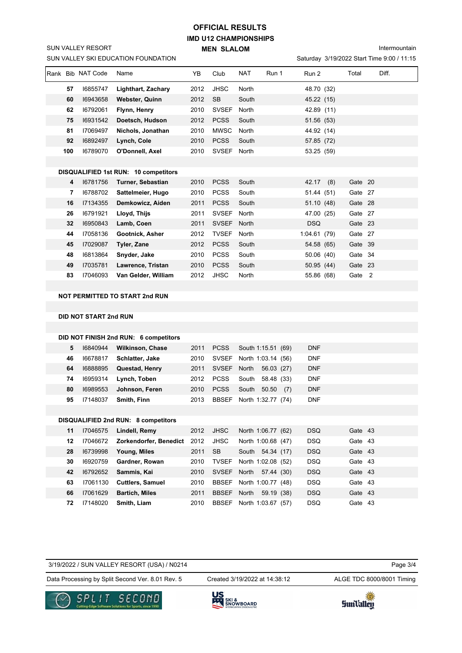## **IMD U12 CHAMPIONSHIPS MEN SLALOM OFFICIAL RESULTS**

Intermountain

|     | Rank Bib NAT Code | Name                                                                                                                                                                                                                                                                                                                                                                                                                                                                                                                                                                                                                                                                                                                                                                                                                                                                                                                                                                                                                                                                                                                                                                                                                                                                                                                                                                                                                                                                                                                                                                                              | YB   | Club         | <b>NAT</b> |  | Run 2      |     | Total | Diff. |
|-----|-------------------|---------------------------------------------------------------------------------------------------------------------------------------------------------------------------------------------------------------------------------------------------------------------------------------------------------------------------------------------------------------------------------------------------------------------------------------------------------------------------------------------------------------------------------------------------------------------------------------------------------------------------------------------------------------------------------------------------------------------------------------------------------------------------------------------------------------------------------------------------------------------------------------------------------------------------------------------------------------------------------------------------------------------------------------------------------------------------------------------------------------------------------------------------------------------------------------------------------------------------------------------------------------------------------------------------------------------------------------------------------------------------------------------------------------------------------------------------------------------------------------------------------------------------------------------------------------------------------------------------|------|--------------|------------|--|------------|-----|-------|-------|
| 57  | 16855747          | Lighthart, Zachary                                                                                                                                                                                                                                                                                                                                                                                                                                                                                                                                                                                                                                                                                                                                                                                                                                                                                                                                                                                                                                                                                                                                                                                                                                                                                                                                                                                                                                                                                                                                                                                | 2012 | <b>JHSC</b>  | North      |  |            |     |       |       |
| 60  | 16943658          | Webster, Quinn                                                                                                                                                                                                                                                                                                                                                                                                                                                                                                                                                                                                                                                                                                                                                                                                                                                                                                                                                                                                                                                                                                                                                                                                                                                                                                                                                                                                                                                                                                                                                                                    | 2012 | <b>SB</b>    | South      |  |            |     |       |       |
| 62  | 16792061          | Flynn, Henry                                                                                                                                                                                                                                                                                                                                                                                                                                                                                                                                                                                                                                                                                                                                                                                                                                                                                                                                                                                                                                                                                                                                                                                                                                                                                                                                                                                                                                                                                                                                                                                      | 2010 |              |            |  |            |     |       |       |
| 75  | 16931542          | Doetsch, Hudson                                                                                                                                                                                                                                                                                                                                                                                                                                                                                                                                                                                                                                                                                                                                                                                                                                                                                                                                                                                                                                                                                                                                                                                                                                                                                                                                                                                                                                                                                                                                                                                   | 2012 | <b>PCSS</b>  | South      |  |            |     |       |       |
| 81  | 17069497          | Nichols, Jonathan                                                                                                                                                                                                                                                                                                                                                                                                                                                                                                                                                                                                                                                                                                                                                                                                                                                                                                                                                                                                                                                                                                                                                                                                                                                                                                                                                                                                                                                                                                                                                                                 | 2010 | <b>MWSC</b>  | North      |  |            |     |       |       |
| 92  | 16892497          | Lynch, Cole                                                                                                                                                                                                                                                                                                                                                                                                                                                                                                                                                                                                                                                                                                                                                                                                                                                                                                                                                                                                                                                                                                                                                                                                                                                                                                                                                                                                                                                                                                                                                                                       | 2010 | <b>PCSS</b>  | South      |  |            |     |       |       |
| 100 | 16789070          | O'Donnell, Axel                                                                                                                                                                                                                                                                                                                                                                                                                                                                                                                                                                                                                                                                                                                                                                                                                                                                                                                                                                                                                                                                                                                                                                                                                                                                                                                                                                                                                                                                                                                                                                                   | 2010 |              |            |  |            |     |       |       |
|     |                   |                                                                                                                                                                                                                                                                                                                                                                                                                                                                                                                                                                                                                                                                                                                                                                                                                                                                                                                                                                                                                                                                                                                                                                                                                                                                                                                                                                                                                                                                                                                                                                                                   |      |              |            |  |            |     |       |       |
|     |                   |                                                                                                                                                                                                                                                                                                                                                                                                                                                                                                                                                                                                                                                                                                                                                                                                                                                                                                                                                                                                                                                                                                                                                                                                                                                                                                                                                                                                                                                                                                                                                                                                   |      |              |            |  |            |     |       |       |
| 4   | 16781756          | Turner, Sebastian                                                                                                                                                                                                                                                                                                                                                                                                                                                                                                                                                                                                                                                                                                                                                                                                                                                                                                                                                                                                                                                                                                                                                                                                                                                                                                                                                                                                                                                                                                                                                                                 | 2010 | <b>PCSS</b>  | South      |  |            | (8) |       |       |
| 7   | 16788702          | Sattelmeier, Hugo                                                                                                                                                                                                                                                                                                                                                                                                                                                                                                                                                                                                                                                                                                                                                                                                                                                                                                                                                                                                                                                                                                                                                                                                                                                                                                                                                                                                                                                                                                                                                                                 | 2010 | <b>PCSS</b>  | South      |  |            |     |       |       |
| 16  | 17134355          | Demkowicz, Aiden                                                                                                                                                                                                                                                                                                                                                                                                                                                                                                                                                                                                                                                                                                                                                                                                                                                                                                                                                                                                                                                                                                                                                                                                                                                                                                                                                                                                                                                                                                                                                                                  | 2011 | <b>PCSS</b>  | South      |  |            |     |       |       |
| 26  | 16791921          | Lloyd, Thijs                                                                                                                                                                                                                                                                                                                                                                                                                                                                                                                                                                                                                                                                                                                                                                                                                                                                                                                                                                                                                                                                                                                                                                                                                                                                                                                                                                                                                                                                                                                                                                                      | 2011 | <b>SVSEF</b> | North      |  |            |     |       |       |
| 32  | 16950843          | Lamb, Coen                                                                                                                                                                                                                                                                                                                                                                                                                                                                                                                                                                                                                                                                                                                                                                                                                                                                                                                                                                                                                                                                                                                                                                                                                                                                                                                                                                                                                                                                                                                                                                                        | 2011 | <b>SVSEF</b> | North      |  | <b>DSQ</b> |     |       |       |
| 44  | 17058136          | Gootnick, Asher                                                                                                                                                                                                                                                                                                                                                                                                                                                                                                                                                                                                                                                                                                                                                                                                                                                                                                                                                                                                                                                                                                                                                                                                                                                                                                                                                                                                                                                                                                                                                                                   | 2012 | <b>TVSEF</b> | North      |  |            |     |       |       |
| 45  | 17029087          | <b>Tyler, Zane</b>                                                                                                                                                                                                                                                                                                                                                                                                                                                                                                                                                                                                                                                                                                                                                                                                                                                                                                                                                                                                                                                                                                                                                                                                                                                                                                                                                                                                                                                                                                                                                                                | 2012 | <b>PCSS</b>  | South      |  |            |     |       |       |
| 48  | 16813864          | Snyder, Jake                                                                                                                                                                                                                                                                                                                                                                                                                                                                                                                                                                                                                                                                                                                                                                                                                                                                                                                                                                                                                                                                                                                                                                                                                                                                                                                                                                                                                                                                                                                                                                                      | 2010 | <b>PCSS</b>  | South      |  |            |     |       |       |
| 49  | 17035781          | Lawrence, Tristan                                                                                                                                                                                                                                                                                                                                                                                                                                                                                                                                                                                                                                                                                                                                                                                                                                                                                                                                                                                                                                                                                                                                                                                                                                                                                                                                                                                                                                                                                                                                                                                 | 2010 | <b>PCSS</b>  | South      |  |            |     |       |       |
| 83  | 17046093          | Van Gelder, William                                                                                                                                                                                                                                                                                                                                                                                                                                                                                                                                                                                                                                                                                                                                                                                                                                                                                                                                                                                                                                                                                                                                                                                                                                                                                                                                                                                                                                                                                                                                                                               | 2012 | <b>JHSC</b>  | North      |  |            |     |       |       |
|     |                   |                                                                                                                                                                                                                                                                                                                                                                                                                                                                                                                                                                                                                                                                                                                                                                                                                                                                                                                                                                                                                                                                                                                                                                                                                                                                                                                                                                                                                                                                                                                                                                                                   |      |              |            |  |            |     |       |       |
|     |                   | SUN VALLEY SKI EDUCATION FOUNDATION<br>Saturday 3/19/2022 Start Time 9:00 / 11:15<br>Run 1<br>48.70 (32)<br>45.22 (15)<br>SVSEF North<br>42.89 (11)<br>51.56 (53)<br>44.92 (14)<br>57.85 (72)<br>SVSEF North<br>53.25 (59)<br><b>DISQUALIFIED 1st RUN: 10 competitors</b><br>Gate 20<br>42.17<br>51.44 (51)<br>Gate 27<br>51.10 (48)<br>Gate 28<br>47.00 (25)<br>Gate 27<br>Gate 23<br>1:04.61 (79)<br>Gate 27<br>54.58 (65)<br>Gate 39<br>Gate 34<br>50.06 (40)<br>50.95 (44)<br>Gate 23<br>Gate 2<br>55.86 (68)<br><b>NOT PERMITTED TO START 2nd RUN</b><br><b>DID NOT START 2nd RUN</b><br>DID NOT FINISH 2nd RUN: 6 competitors<br><b>PCSS</b><br><b>DNF</b><br><b>Wilkinson, Chase</b><br>2011<br>South 1:15.51 (69)<br><b>SVSEF</b><br><b>DNF</b><br>Schlatter, Jake<br>2010<br>North 1:03.14 (56)<br><b>DNF</b><br>Questad, Henry<br>2011<br><b>SVSEF</b><br>North<br>56.03 (27)<br><b>PCSS</b><br><b>DNF</b><br>Lynch, Toben<br>2012<br>South<br>58.48 (33)<br>Johnson, Feren<br>2010<br><b>PCSS</b><br>50.50<br><b>DNF</b><br>South<br>(7)<br>2013<br>DNF<br>Smith, Finn<br><b>BBSEF</b><br>North 1:32.77 (74)<br>DISQUALIFIED 2nd RUN: 8 competitors<br><b>DSQ</b><br>Lindell, Remy<br>2012<br><b>JHSC</b><br>North 1:06.77 (62)<br>Gate 43<br>Zorkendorfer, Benedict<br>2012<br>JHSC<br>North 1:00.68 (47)<br>DSQ.<br>Gate 43<br>Young, Miles<br>2011<br><b>SB</b><br>South 54.34 (17)<br><b>DSQ</b><br>Gate 43<br>Gardner, Rowan<br>2010<br><b>TVSEF</b><br>North 1:02.08 (52)<br>DSQ.<br>Gate 43<br>Sammis, Kai<br>2010<br><b>SVSEF</b><br><b>DSQ</b><br>North 57.44 (30)<br>Gate 43 |      |              |            |  |            |     |       |       |
|     |                   |                                                                                                                                                                                                                                                                                                                                                                                                                                                                                                                                                                                                                                                                                                                                                                                                                                                                                                                                                                                                                                                                                                                                                                                                                                                                                                                                                                                                                                                                                                                                                                                                   |      |              |            |  |            |     |       |       |
|     |                   |                                                                                                                                                                                                                                                                                                                                                                                                                                                                                                                                                                                                                                                                                                                                                                                                                                                                                                                                                                                                                                                                                                                                                                                                                                                                                                                                                                                                                                                                                                                                                                                                   |      |              |            |  |            |     |       |       |
|     |                   |                                                                                                                                                                                                                                                                                                                                                                                                                                                                                                                                                                                                                                                                                                                                                                                                                                                                                                                                                                                                                                                                                                                                                                                                                                                                                                                                                                                                                                                                                                                                                                                                   |      |              |            |  |            |     |       |       |
|     |                   |                                                                                                                                                                                                                                                                                                                                                                                                                                                                                                                                                                                                                                                                                                                                                                                                                                                                                                                                                                                                                                                                                                                                                                                                                                                                                                                                                                                                                                                                                                                                                                                                   |      |              |            |  |            |     |       |       |
| 5   | 16840944          |                                                                                                                                                                                                                                                                                                                                                                                                                                                                                                                                                                                                                                                                                                                                                                                                                                                                                                                                                                                                                                                                                                                                                                                                                                                                                                                                                                                                                                                                                                                                                                                                   |      |              |            |  |            |     |       |       |
| 46  | 16678817          |                                                                                                                                                                                                                                                                                                                                                                                                                                                                                                                                                                                                                                                                                                                                                                                                                                                                                                                                                                                                                                                                                                                                                                                                                                                                                                                                                                                                                                                                                                                                                                                                   |      |              |            |  |            |     |       |       |
| 64  | 16888895          |                                                                                                                                                                                                                                                                                                                                                                                                                                                                                                                                                                                                                                                                                                                                                                                                                                                                                                                                                                                                                                                                                                                                                                                                                                                                                                                                                                                                                                                                                                                                                                                                   |      |              |            |  |            |     |       |       |
| 74  | 16959314          |                                                                                                                                                                                                                                                                                                                                                                                                                                                                                                                                                                                                                                                                                                                                                                                                                                                                                                                                                                                                                                                                                                                                                                                                                                                                                                                                                                                                                                                                                                                                                                                                   |      |              |            |  |            |     |       |       |
| 80  | 16989553          |                                                                                                                                                                                                                                                                                                                                                                                                                                                                                                                                                                                                                                                                                                                                                                                                                                                                                                                                                                                                                                                                                                                                                                                                                                                                                                                                                                                                                                                                                                                                                                                                   |      |              |            |  |            |     |       |       |
| 95  | 17148037          |                                                                                                                                                                                                                                                                                                                                                                                                                                                                                                                                                                                                                                                                                                                                                                                                                                                                                                                                                                                                                                                                                                                                                                                                                                                                                                                                                                                                                                                                                                                                                                                                   |      |              |            |  |            |     |       |       |
|     |                   |                                                                                                                                                                                                                                                                                                                                                                                                                                                                                                                                                                                                                                                                                                                                                                                                                                                                                                                                                                                                                                                                                                                                                                                                                                                                                                                                                                                                                                                                                                                                                                                                   |      |              |            |  |            |     |       |       |
|     |                   |                                                                                                                                                                                                                                                                                                                                                                                                                                                                                                                                                                                                                                                                                                                                                                                                                                                                                                                                                                                                                                                                                                                                                                                                                                                                                                                                                                                                                                                                                                                                                                                                   |      |              |            |  |            |     |       |       |
| 11  | 17046575          |                                                                                                                                                                                                                                                                                                                                                                                                                                                                                                                                                                                                                                                                                                                                                                                                                                                                                                                                                                                                                                                                                                                                                                                                                                                                                                                                                                                                                                                                                                                                                                                                   |      |              |            |  |            |     |       |       |
| 12  | 17046672          |                                                                                                                                                                                                                                                                                                                                                                                                                                                                                                                                                                                                                                                                                                                                                                                                                                                                                                                                                                                                                                                                                                                                                                                                                                                                                                                                                                                                                                                                                                                                                                                                   |      |              |            |  |            |     |       |       |
| 28  | 16739998          |                                                                                                                                                                                                                                                                                                                                                                                                                                                                                                                                                                                                                                                                                                                                                                                                                                                                                                                                                                                                                                                                                                                                                                                                                                                                                                                                                                                                                                                                                                                                                                                                   |      |              |            |  |            |     |       |       |
| 30  | 16920759          |                                                                                                                                                                                                                                                                                                                                                                                                                                                                                                                                                                                                                                                                                                                                                                                                                                                                                                                                                                                                                                                                                                                                                                                                                                                                                                                                                                                                                                                                                                                                                                                                   |      |              |            |  |            |     |       |       |
| 42  | 16792652          |                                                                                                                                                                                                                                                                                                                                                                                                                                                                                                                                                                                                                                                                                                                                                                                                                                                                                                                                                                                                                                                                                                                                                                                                                                                                                                                                                                                                                                                                                                                                                                                                   |      |              |            |  |            |     |       |       |

Data Processing by Split Second Ver. 8.01 Rev. 5 Created 3/19/2022 at 14:38:12 ALGE TDC 8000/8001 Timing

SPLIT

3/19/2022 / SUN VALLEY RESORT (USA) / N0214

SECOND

SUN VALLEY RESORT

**US**<br>SKI &<br>SNOWBOARD

Created 3/19/2022 at 14:38:12

 I7061130 **Cuttlers, Samuel** 2010 BBSEF North 1:00.77 (48) DSQ Gate 43 I7061629 **Bartich, Miles** 2011 BBSEF North 59.19 (38) DSQ Gate 43 I7148020 **Smith, Liam** 2010 BBSEF North 1:03.67 (57) DSQ Gate 43



Page 3/4